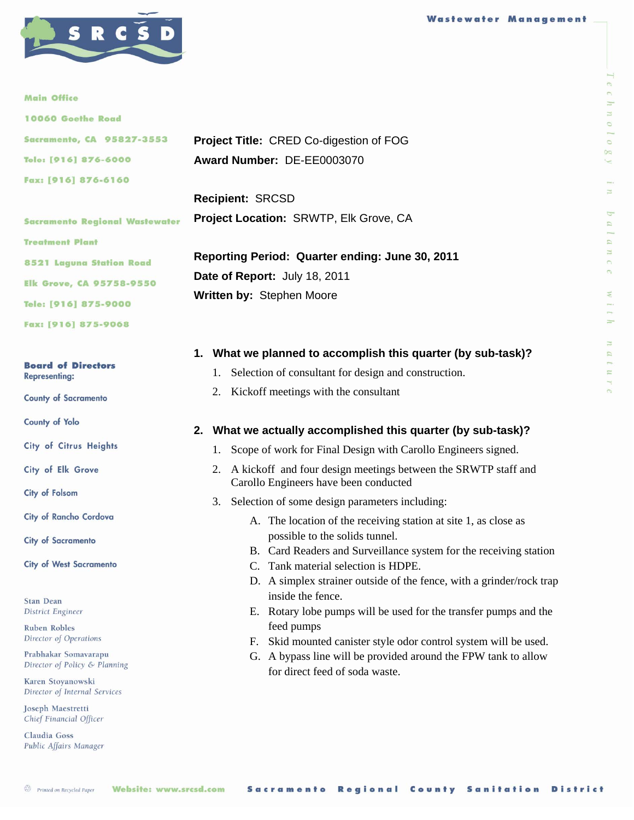

#### **Main Office**

| <b>10060 Goethe Road</b> |  |
|--------------------------|--|
|--------------------------|--|

|                      | <b>Sacramento, CA 95827-3553</b> |  |
|----------------------|----------------------------------|--|
| Tele: [916] 876-6000 |                                  |  |
| Fax: [916] 876-6160  |                                  |  |

**Sacramento Regional Wastewater Treatment Plant 8521 Laguna Station Road Elk Grove, CA 95758-9550** Tele: [916] 875-9000

Fax: [916] 875-9068

#### **Board of Directors Representing:**

**County of Sacramento** 

County of Yolo

City of Citrus Heights

City of Elk Grove

City of Folsom

City of Rancho Cordova

**City of Sacramento** 

**City of West Sacramento** 

**Stan Dean District Engineer** 

**Ruben Robles** Director of Operations

Prabhakar Somavarapu Director of Policy & Planning

Karen Stoyanowski Director of Internal Services

Joseph Maestretti Chief Financial Officer

Claudia Goss Public Affairs Manager

|                            | <b>Project Title: CRED Co-digestion of FOG</b> |
|----------------------------|------------------------------------------------|
| Award Number: DE-EE0003070 |                                                |

**Recipient:** SRCSD **Project Location:** SRWTP, Elk Grove, CA

**Reporting Period: Quarter ending: June 30, 2011 Date of Report:** July 18, 2011 **Written by:** Stephen Moore

## **1. What we planned to accomplish this quarter (by sub-task)?**

- 1. Selection of consultant for design and construction.
- 2. Kickoff meetings with the consultant

### **2. What we actually accomplished this quarter (by sub-task)?**

- 1. Scope of work for Final Design with Carollo Engineers signed.
- 2. A kickoff and four design meetings between the SRWTP staff and Carollo Engineers have been conducted
- 3. Selection of some design parameters including:
	- A. The location of the receiving station at site 1, as close as possible to the solids tunnel.
	- B. Card Readers and Surveillance system for the receiving station
	- C. Tank material selection is HDPE.
	- D. A simplex strainer outside of the fence, with a grinder/rock trap inside the fence.
	- E. Rotary lobe pumps will be used for the transfer pumps and the feed pumps
	- F. Skid mounted canister style odor control system will be used.
	- G. A bypass line will be provided around the FPW tank to allow for direct feed of soda waste.